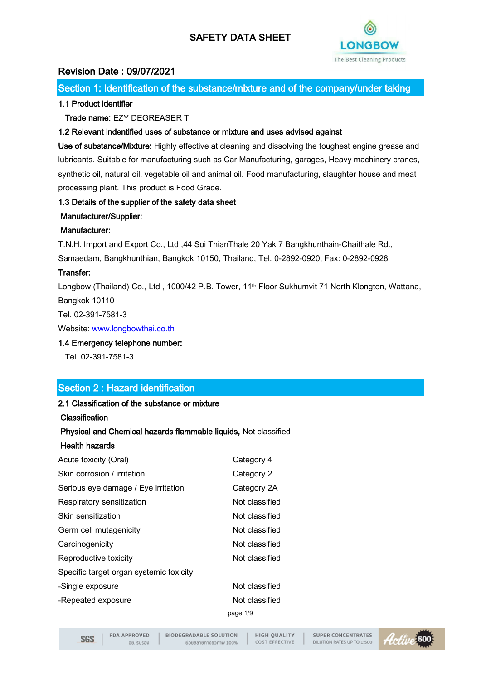

# Revision Date : 09/07/2021

Section 1: Identification of the substance/mixture and of the company/under taking

### 1.1 Product identifier

#### Trade name: EZY DEGREASER T

#### 1.2 Relevant indentified uses of substance or mixture and uses advised against

Use of substance/Mixture: Highly effective at cleaning and dissolving the toughest engine grease and lubricants. Suitable for manufacturing such as Car Manufacturing, garages, Heavy machinery cranes, synthetic oil, natural oil, vegetable oil and animal oil. Food manufacturing, slaughter house and meat processing plant. This product is Food Grade.

#### 1.3 Details of the supplier of the safety data sheet

#### Manufacturer/Supplier:

#### Manufacturer:

T.N.H. Import and Export Co., Ltd ,44 Soi ThianThale 20 Yak 7 Bangkhunthain-Chaithale Rd.,

Samaedam, Bangkhunthian, Bangkok 10150, Thailand, Tel. 0-2892-0920, Fax: 0-2892-0928

#### Transfer:

Longbow (Thailand) Co., Ltd, 1000/42 P.B. Tower, 11<sup>th</sup> Floor Sukhumvit 71 North Klongton, Wattana, Bangkok 10110

Tel. 02-391-7581-3

Website[: www.longbowthai.co.th](http://www.longbowthai.co.th/)

#### 1.4 Emergency telephone number:

Tel. 02-391-7581-3

## Section 2 : Hazard identification

#### 2.1 Classification of the substance or mixture

#### Classification

## Physical and Chemical hazards flammable liquids, Not classified

#### Health hazards

| Acute toxicity (Oral)                   | Category 4     |
|-----------------------------------------|----------------|
| Skin corrosion / irritation             | Category 2     |
| Serious eye damage / Eye irritation     | Category 2A    |
| Respiratory sensitization               | Not classified |
| Skin sensitization                      | Not classified |
| Germ cell mutagenicity                  | Not classified |
| Carcinogenicity                         | Not classified |
| Reproductive toxicity                   | Not classified |
| Specific target organ systemic toxicity |                |
| -Single exposure                        | Not classified |
| -Repeated exposure                      | Not classified |
|                                         | page 1/9       |

**SGS** 

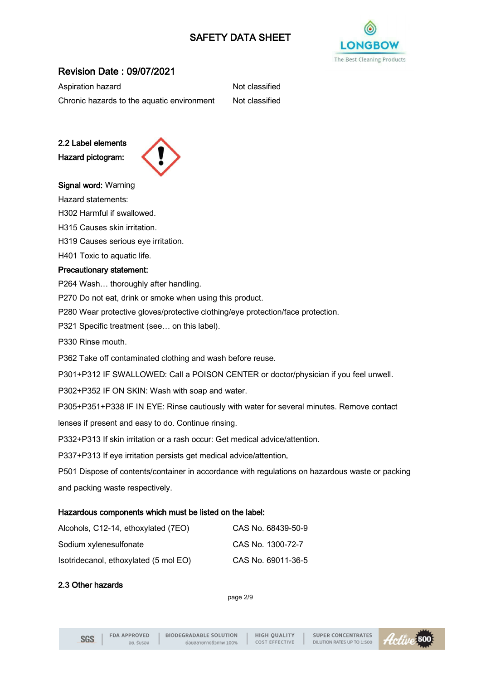

# Revision Date : 09/07/2021

| Aspiration hazard                          | Not classified |
|--------------------------------------------|----------------|
| Chronic hazards to the aquatic environment | Not classified |

2.2 Label elements Hazard pictogram:



Signal word: Warning

Hazard statements:

H302 Harmful if swallowed.

H315 Causes skin irritation.

H319 Causes serious eye irritation.

H401 Toxic to aquatic life.

#### Precautionary statement:

P264 Wash… thoroughly after handling.

P270 Do not eat, drink or smoke when using this product.

P280 Wear protective gloves/protective clothing/eye protection/face protection.

P321 Specific treatment (see… on this label).

P330 Rinse mouth.

P362 Take off contaminated clothing and wash before reuse.

P301+P312 IF SWALLOWED: Call a POISON CENTER or doctor/physician if you feel unwell.

P302+P352 IF ON SKIN: Wash with soap and water.

P305+P351+P338 IF IN EYE: Rinse cautiously with water for several minutes. Remove contact

lenses if present and easy to do. Continue rinsing.

P332+P313 If skin irritation or a rash occur: Get medical advice/attention.

P337+P313 If eye irritation persists get medical advice/attention.

P501 Dispose of contents/container in accordance with regulations on hazardous waste or packing and packing waste respectively.

#### Hazardous components which must be listed on the label:

| Alcohols, C12-14, ethoxylated (7EO)   | CAS No. 68439-50-9 |
|---------------------------------------|--------------------|
| Sodium xylenesulfonate                | CAS No. 1300-72-7  |
| Isotridecanol, ethoxylated (5 mol EO) | CAS No. 69011-36-5 |

## 2.3 Other hazards

page 2/9

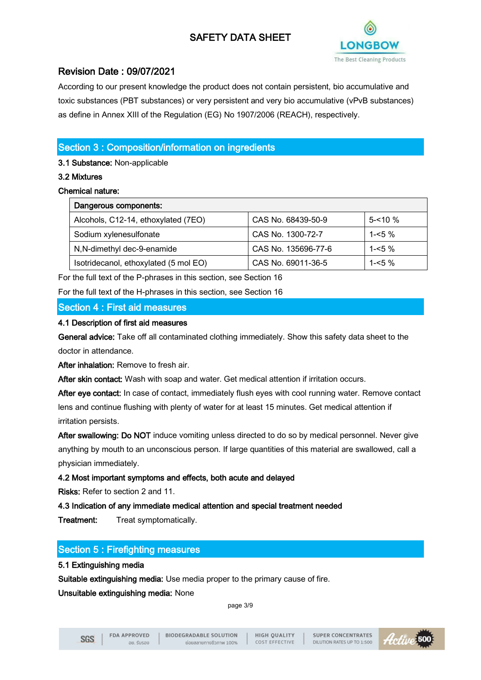

# Revision Date : 09/07/2021

According to our present knowledge the product does not contain persistent, bio accumulative and toxic substances (PBT substances) or very persistent and very bio accumulative (vPvB substances) as define in Annex XIII of the Regulation (EG) No 1907/2006 (REACH), respectively.

# Section 3 : Composition/information on ingredients

3.1 Substance: Non-applicable

## 3.2 Mixtures

## Chemical nature:

| Dangerous components:                 |                     |             |
|---------------------------------------|---------------------|-------------|
| Alcohols, C12-14, ethoxylated (7EO)   | CAS No. 68439-50-9  | $5 - 10 \%$ |
| Sodium xylenesulfonate                | CAS No. 1300-72-7   | 1-<5 $\%$   |
| N,N-dimethyl dec-9-enamide            | CAS No. 135696-77-6 | 1- $5\%$    |
| Isotridecanol, ethoxylated (5 mol EO) | CAS No. 69011-36-5  | 1- $5\%$    |

For the full text of the P-phrases in this section, see Section 16

For the full text of the H-phrases in this section, see Section 16

## Section 4 : First aid measures

#### 4.1 Description of first aid measures

General advice: Take off all contaminated clothing immediately. Show this safety data sheet to the doctor in attendance.

After inhalation: Remove to fresh air.

After skin contact: Wash with soap and water. Get medical attention if irritation occurs.

After eye contact: In case of contact, immediately flush eyes with cool running water. Remove contact lens and continue flushing with plenty of water for at least 15 minutes. Get medical attention if irritation persists.

After swallowing: Do NOT induce vomiting unless directed to do so by medical personnel. Never give anything by mouth to an unconscious person. If large quantities of this material are swallowed, call a physician immediately.

## 4.2 Most important symptoms and effects, both acute and delayed

Risks: Refer to section 2 and 11.

## 4.3 Indication of any immediate medical attention and special treatment needed

Treatment: Treat symptomatically.

# Section 5 : Firefighting measures

## 5.1 Extinguishing media

Suitable extinguishing media: Use media proper to the primary cause of fire.

#### Unsuitable extinguishing media: None

page 3/9

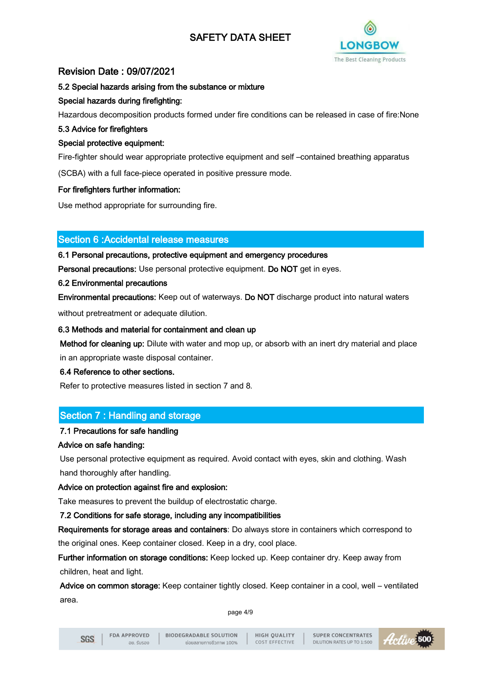

# Revision Date : 09/07/2021

#### 5.2 Special hazards arising from the substance or mixture

### Special hazards during firefighting:

Hazardous decomposition products formed under fire conditions can be released in case of fire:None

#### 5.3 Advice for firefighters

### Special protective equipment:

Fire-fighter should wear appropriate protective equipment and self –contained breathing apparatus

(SCBA) with a full face-piece operated in positive pressure mode.

#### For firefighters further information:

Use method appropriate for surrounding fire.

## Section 6 :Accidental release measures

#### 6.1 Personal precautions, protective equipment and emergency procedures

Personal precautions: Use personal protective equipment. Do NOT get in eyes.

#### 6.2 Environmental precautions

Environmental precautions: Keep out of waterways. Do NOT discharge product into natural waters

without pretreatment or adequate dilution.

#### 6.3 Methods and material for containment and clean up

Method for cleaning up: Dilute with water and mop up, or absorb with an inert dry material and place in an appropriate waste disposal container.

#### 6.4 Reference to other sections.

Refer to protective measures listed in section 7 and 8.

## Section 7 : Handling and storage

## 7.1 Precautions for safe handling

#### Advice on safe handing:

Use personal protective equipment as required. Avoid contact with eyes, skin and clothing. Wash hand thoroughly after handling.

## Advice on protection against fire and explosion:

Take measures to prevent the buildup of electrostatic charge.

## 7.2 Conditions for safe storage, including any incompatibilities

Requirements for storage areas and containers: Do always store in containers which correspond to the original ones. Keep container closed. Keep in a dry, cool place.

Further information on storage conditions: Keep locked up. Keep container dry. Keep away from children, heat and light.

Advice on common storage: Keep container tightly closed. Keep container in a cool, well – ventilated area.

page 4/9

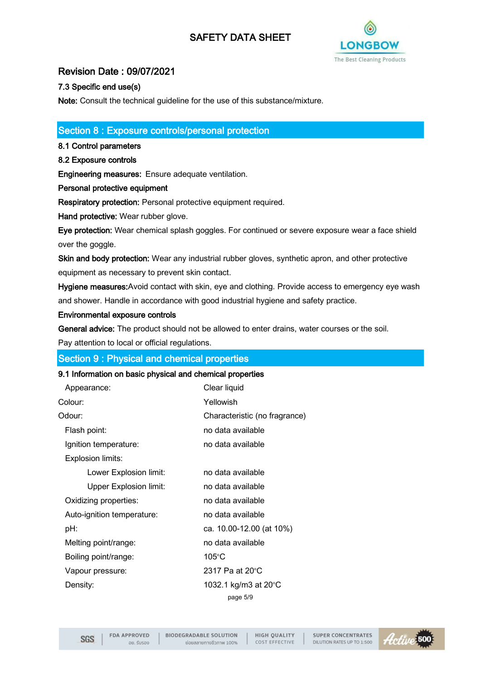

# Revision Date : 09/07/2021

## 7.3 Specific end use(s)

Note: Consult the technical guideline for the use of this substance/mixture.

## Section 8 : Exposure controls/personal protection

8.1 Control parameters

### 8.2 Exposure controls

Engineering measures: Ensure adequate ventilation.

Personal protective equipment

Respiratory protection: Personal protective equipment required.

Hand protective: Wear rubber glove.

Eye protection: Wear chemical splash goggles. For continued or severe exposure wear a face shield over the goggle.

Skin and body protection: Wear any industrial rubber gloves, synthetic apron, and other protective equipment as necessary to prevent skin contact.

Hygiene measures:Avoid contact with skin, eye and clothing. Provide access to emergency eye wash and shower. Handle in accordance with good industrial hygiene and safety practice.

#### Environmental exposure controls

General advice: The product should not be allowed to enter drains, water courses or the soil.

Pay attention to local or official regulations.

## Section 9 : Physical and chemical properties

#### 9.1 Information on basic physical and chemical properties

| Appearance:                   | Clear liquid                  |
|-------------------------------|-------------------------------|
| Colour:                       | Yellowish                     |
| Odour:                        | Characteristic (no fragrance) |
| Flash point:                  | no data available             |
| Ignition temperature:         | no data available             |
| Explosion limits:             |                               |
| Lower Explosion limit:        | no data available             |
| <b>Upper Explosion limit:</b> | no data available             |
| Oxidizing properties:         | no data available             |
| Auto-ignition temperature:    | no data available             |
| pH:                           | ca. 10.00-12.00 (at 10%)      |
| Melting point/range:          | no data available             |
| Boiling point/range:          | 105°C                         |
| Vapour pressure:              | 2317 Pa at 20°C               |
| Density:                      | 1032.1 kg/m3 at 20°C          |
|                               | page 5/9                      |

**SGS** 

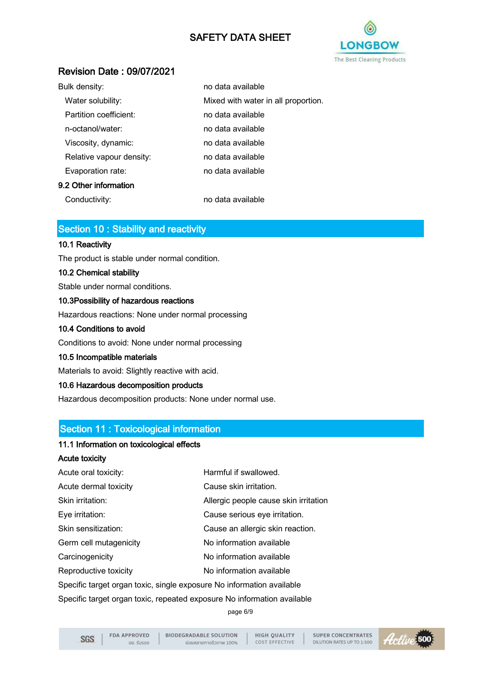

# Revision Date : 09/07/2021

| Bulk density:            | no data available                   |
|--------------------------|-------------------------------------|
| Water solubility:        | Mixed with water in all proportion. |
| Partition coefficient:   | no data available                   |
| n-octanol/water:         | no data available                   |
| Viscosity, dynamic:      | no data available                   |
| Relative vapour density: | no data available                   |
| Evaporation rate:        | no data available                   |
| 9.2 Other information    |                                     |
|                          |                                     |

Conductivity: no data available

# Section 10 : Stability and reactivity

#### 10.1 Reactivity

The product is stable under normal condition.

#### 10.2 Chemical stability

Stable under normal conditions.

#### 10.3Possibility of hazardous reactions

Hazardous reactions: None under normal processing

#### 10.4 Conditions to avoid

Conditions to avoid: None under normal processing

#### 10.5 Incompatible materials

Materials to avoid: Slightly reactive with acid.

#### 10.6 Hazardous decomposition products

Hazardous decomposition products: None under normal use.

## Section 11 : Toxicological information

#### 11.1 Information on toxicological effects

## Acute toxicity

| Harmful if swallowed.                                                   |  |
|-------------------------------------------------------------------------|--|
| Cause skin irritation.                                                  |  |
| Allergic people cause skin irritation                                   |  |
| Cause serious eye irritation.                                           |  |
| Cause an allergic skin reaction.                                        |  |
| No information available                                                |  |
| No information available                                                |  |
| No information available                                                |  |
| Specific target organ toxic, single exposure No information available   |  |
| Specific target organ toxic, repeated exposure No information available |  |
|                                                                         |  |

page 6/9

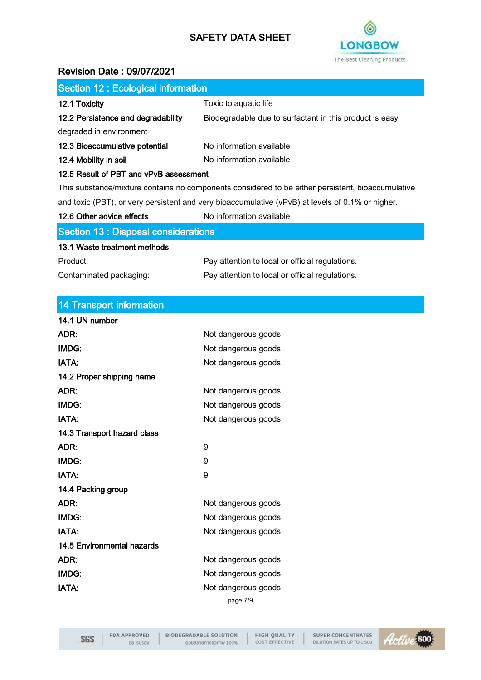

# Revision Date : 09/07/2021

| <b>Section 12: Ecological information</b>                                                        |                                                                                                   |
|--------------------------------------------------------------------------------------------------|---------------------------------------------------------------------------------------------------|
| 12.1 Toxicity                                                                                    | Toxic to aquatic life                                                                             |
| 12.2 Persistence and degradability                                                               | Biodegradable due to surfactant in this product is easy                                           |
| degraded in environment                                                                          |                                                                                                   |
| 12.3 Bioaccumulative potential                                                                   | No information available                                                                          |
| 12.4 Mobility in soil                                                                            | No information available                                                                          |
| 12.5 Result of PBT and vPvB assessment                                                           |                                                                                                   |
|                                                                                                  | This substance/mixture contains no components considered to be either persistent, bioaccumulative |
| and toxic (PBT), or very persistent and very bioaccumulative (vPvB) at levels of 0.1% or higher. |                                                                                                   |
| 12.6 Other advice effects                                                                        | No information available                                                                          |
| <b>Section 13 : Disposal considerations</b>                                                      |                                                                                                   |
| 13.1 Waste treatment methods                                                                     |                                                                                                   |
| Product:                                                                                         | Pay attention to local or official regulations.                                                   |
| Contaminated packaging:                                                                          | Pay attention to local or official regulations.                                                   |
|                                                                                                  |                                                                                                   |
| <b>14 Transport information</b>                                                                  |                                                                                                   |
| 14.1 UN number                                                                                   |                                                                                                   |
| ADR:                                                                                             | Not dangerous goods                                                                               |
| IMDG:                                                                                            | Not dangerous goods                                                                               |
| <b>IATA:</b>                                                                                     | Not dangerous goods                                                                               |
| 14.2 Proper shipping name                                                                        |                                                                                                   |
| ADR:                                                                                             | Not dangerous goods                                                                               |
| <b>IMDG:</b>                                                                                     | Not dangerous goods                                                                               |
| <b>IATA:</b>                                                                                     | Not dangerous goods                                                                               |
| 14.3 Transport hazard class                                                                      |                                                                                                   |
| ADR:                                                                                             | 9                                                                                                 |
| IMDG:                                                                                            | 9                                                                                                 |
| <b>IATA:</b>                                                                                     | 9                                                                                                 |
| 14.4 Packing group                                                                               |                                                                                                   |
| ADR:                                                                                             | Not dangerous goods                                                                               |
| <b>IMDG:</b>                                                                                     | Not dangerous goods                                                                               |
| <b>IATA:</b>                                                                                     | Not dangerous goods                                                                               |
| <b>14.5 Environmental hazards</b>                                                                |                                                                                                   |
| ADR:                                                                                             | Not dangerous goods                                                                               |
| IMDG:                                                                                            | Not dangerous goods                                                                               |
| IATA:                                                                                            | Not dangerous goods                                                                               |
|                                                                                                  | page 7/9                                                                                          |
|                                                                                                  |                                                                                                   |

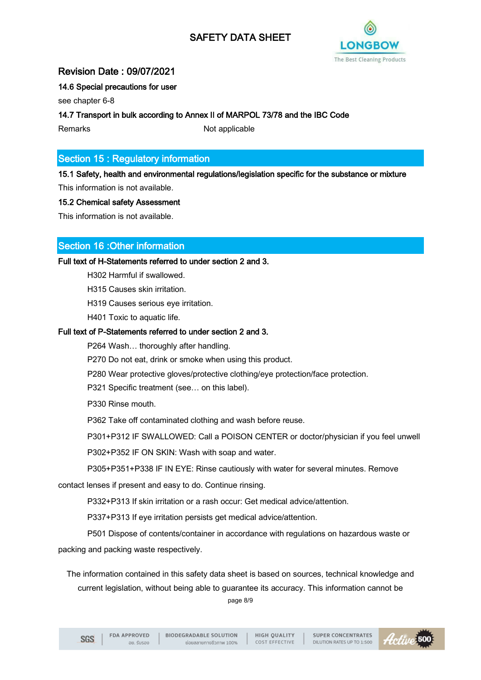

## Revision Date : 09/07/2021

## 14.6 Special precautions for user

see chapter 6-8

14.7 Transport in bulk according to Annex II of MARPOL 73/78 and the IBC Code

Remarks Not applicable

# Section 15 : Regulatory information

15.1 Safety, health and environmental regulations/legislation specific for the substance or mixture This information is not available.

## 15.2 Chemical safety Assessment

This information is not available.

## Section 16 :Other information

Full text of H-Statements referred to under section 2 and 3.

H302 Harmful if swallowed.

H315 Causes skin irritation.

H319 Causes serious eye irritation.

H401 Toxic to aquatic life.

#### Full text of P-Statements referred to under section 2 and 3.

P264 Wash… thoroughly after handling.

P270 Do not eat, drink or smoke when using this product.

P280 Wear protective gloves/protective clothing/eye protection/face protection.

P321 Specific treatment (see… on this label).

P330 Rinse mouth.

P362 Take off contaminated clothing and wash before reuse.

P301+P312 IF SWALLOWED: Call a POISON CENTER or doctor/physician if you feel unwell

P302+P352 IF ON SKIN: Wash with soap and water.

P305+P351+P338 IF IN EYE: Rinse cautiously with water for several minutes. Remove

contact lenses if present and easy to do. Continue rinsing.

P332+P313 If skin irritation or a rash occur: Get medical advice/attention.

P337+P313 If eye irritation persists get medical advice/attention.

P501 Dispose of contents/container in accordance with regulations on hazardous waste or packing and packing waste respectively.

The information contained in this safety data sheet is based on sources, technical knowledge and current legislation, without being able to guarantee its accuracy. This information cannot be page 8/9